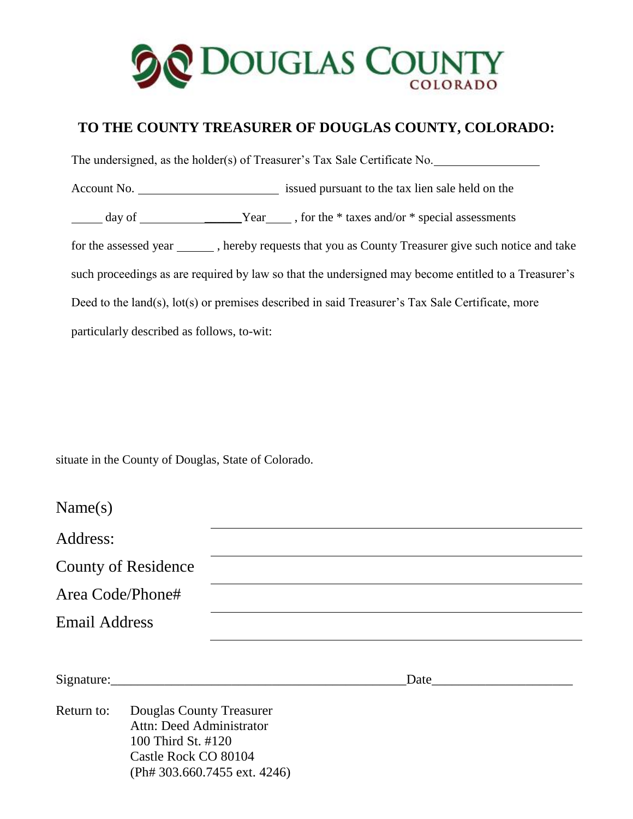

## **TO THE COUNTY TREASURER OF DOUGLAS COUNTY, COLORADO:**

 The undersigned, as the holder(s) of Treasurer's Tax Sale Certificate No. Account No. issued pursuant to the tax lien sale held on the day of \_\_\_\_\_\_Year , for the \* taxes and/or \* special assessments for the assessed year \_\_\_\_\_\_\_, hereby requests that you as County Treasurer give such notice and take such proceedings as are required by law so that the undersigned may become entitled to a Treasurer's Deed to the land(s), lot(s) or premises described in said Treasurer's Tax Sale Certificate, more particularly described as follows, to-wit:

situate in the County of Douglas, State of Colorado.

| Name(s)              |                                                                                                        |                                                                                                                                                                                                                               |  |
|----------------------|--------------------------------------------------------------------------------------------------------|-------------------------------------------------------------------------------------------------------------------------------------------------------------------------------------------------------------------------------|--|
| Address:             |                                                                                                        |                                                                                                                                                                                                                               |  |
|                      | <b>County of Residence</b>                                                                             |                                                                                                                                                                                                                               |  |
| Area Code/Phone#     |                                                                                                        |                                                                                                                                                                                                                               |  |
| <b>Email Address</b> |                                                                                                        |                                                                                                                                                                                                                               |  |
| Return to:           | Douglas County Treasurer                                                                               | Date and the same state of the state of the state of the state of the state of the state of the state of the state of the state of the state of the state of the state of the state of the state of the state of the state of |  |
|                      | Attn: Deed Administrator<br>100 Third St. #120<br>Castle Rock CO 80104<br>(Ph# 303.660.7455 ext. 4246) |                                                                                                                                                                                                                               |  |